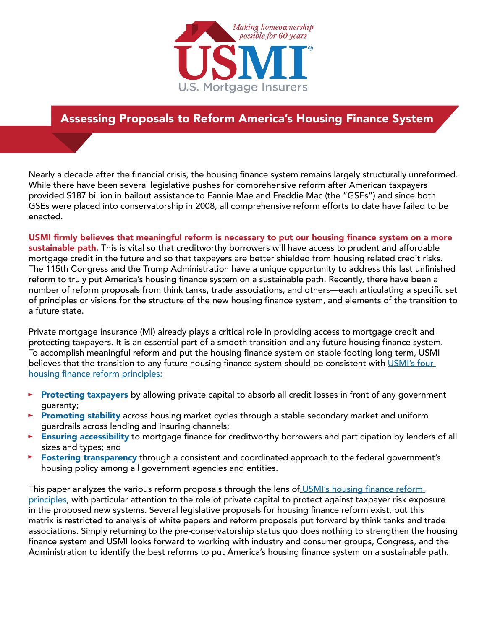

# Assessing Proposals to Reform America's Housing Finance System

Nearly a decade after the financial crisis, the housing finance system remains largely structurally unreformed. While there have been several legislative pushes for comprehensive reform after American taxpayers provided \$187 billion in bailout assistance to Fannie Mae and Freddie Mac (the "GSEs") and since both GSEs were placed into conservatorship in 2008, all comprehensive reform efforts to date have failed to be enacted.

USMI firmly believes that meaningful reform is necessary to put our housing finance system on a more sustainable path. This is vital so that creditworthy borrowers will have access to prudent and affordable mortgage credit in the future and so that taxpayers are better shielded from housing related credit risks. The 115th Congress and the Trump Administration have a unique opportunity to address this last unfinished reform to truly put America's housing finance system on a sustainable path. Recently, there have been a number of reform proposals from think tanks, trade associations, and others—each articulating a specific set of principles or visions for the structure of the new housing finance system, and elements of the transition to a future state.

Private mortgage insurance (MI) already plays a critical role in providing access to mortgage credit and protecting taxpayers. It is an essential part of a smooth transition and any future housing finance system. To accomplish meaningful reform and put the housing finance system on stable footing long term, USMI believes that the transition to any future housing finance system should be consistent with USMI's four [housing finance reform principles:](http://www.usmi.org/wp-content/uploads/2017/04/Its-Time-to-Reform-the-Housing-Finance-System.pdf)

- Protecting taxpayers by allowing private capital to absorb all credit losses in front of any government guaranty;
- **Promoting stability** across housing market cycles through a stable secondary market and uniform guardrails across lending and insuring channels;
- Ensuring accessibility to mortgage finance for creditworthy borrowers and participation by lenders of all sizes and types; and
- Fostering transparency through a consistent and coordinated approach to the federal government's housing policy among all government agencies and entities.

This paper analyzes the various reform proposals through the lens of USMI's housing finance reform [principles,](http://www.usmi.org/wp-content/uploads/2017/04/Its-Time-to-Reform-the-Housing-Finance-System.pdf) with particular attention to the role of private capital to protect against taxpayer risk exposure in the proposed new systems. Several legislative proposals for housing finance reform exist, but this matrix is restricted to analysis of white papers and reform proposals put forward by think tanks and trade associations. Simply returning to the pre-conservatorship status quo does nothing to strengthen the housing finance system and USMI looks forward to working with industry and consumer groups, Congress, and the Administration to identify the best reforms to put America's housing finance system on a sustainable path.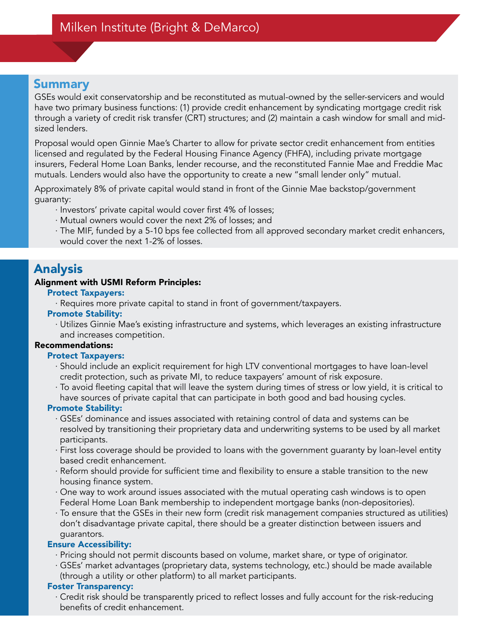GSEs would exit conservatorship and be reconstituted as mutual-owned by the seller-servicers and would have two primary business functions: (1) provide credit enhancement by syndicating mortgage credit risk through a variety of credit risk transfer (CRT) structures; and (2) maintain a cash window for small and midsized lenders.

Proposal would open Ginnie Mae's Charter to allow for private sector credit enhancement from entities licensed and regulated by the Federal Housing Finance Agency (FHFA), including private mortgage insurers, Federal Home Loan Banks, lender recourse, and the reconstituted Fannie Mae and Freddie Mac mutuals. Lenders would also have the opportunity to create a new "small lender only" mutual.

Approximately 8% of private capital would stand in front of the Ginnie Mae backstop/government guaranty:

· Investors' private capital would cover first 4% of losses;

- · Mutual owners would cover the next 2% of losses; and
- · The MIF, funded by a 5-10 bps fee collected from all approved secondary market credit enhancers, would cover the next 1-2% of losses.

# Analysis

### Alignment with USMI Reform Principles:

#### Protect Taxpayers:

· Requires more private capital to stand in front of government/taxpayers.

### Promote Stability:

· Utilizes Ginnie Mae's existing infrastructure and systems, which leverages an existing infrastructure and increases competition.

### Recommendations:

### Protect Taxpayers:

- · Should include an explicit requirement for high LTV conventional mortgages to have loan-level credit protection, such as private MI, to reduce taxpayers' amount of risk exposure.
- · To avoid fleeting capital that will leave the system during times of stress or low yield, it is critical to have sources of private capital that can participate in both good and bad housing cycles.

## Promote Stability:

- · GSEs' dominance and issues associated with retaining control of data and systems can be resolved by transitioning their proprietary data and underwriting systems to be used by all market participants.
- · First loss coverage should be provided to loans with the government guaranty by loan-level entity based credit enhancement.
- · Reform should provide for sufficient time and flexibility to ensure a stable transition to the new housing finance system.
- · One way to work around issues associated with the mutual operating cash windows is to open Federal Home Loan Bank membership to independent mortgage banks (non-depositories).
- · To ensure that the GSEs in their new form (credit risk management companies structured as utilities) don't disadvantage private capital, there should be a greater distinction between issuers and guarantors.

## Ensure Accessibility:

- · Pricing should not permit discounts based on volume, market share, or type of originator.
- · GSEs' market advantages (proprietary data, systems technology, etc.) should be made available (through a utility or other platform) to all market participants.

### Foster Transparency:

· Credit risk should be transparently priced to reflect losses and fully account for the risk-reducing benefits of credit enhancement.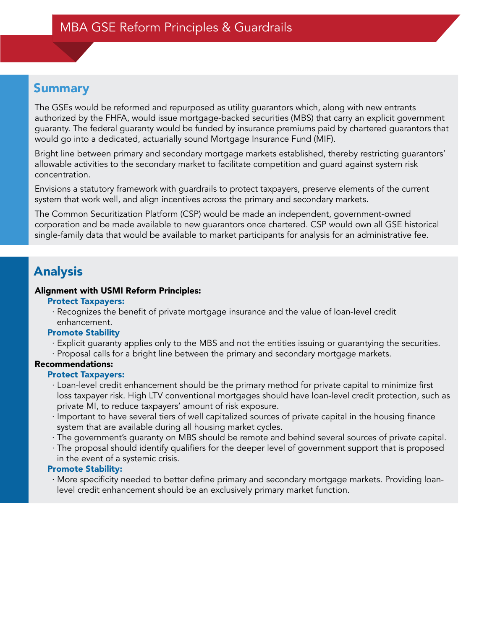The GSEs would be reformed and repurposed as utility guarantors which, along with new entrants authorized by the FHFA, would issue mortgage-backed securities (MBS) that carry an explicit government guaranty. The federal guaranty would be funded by insurance premiums paid by chartered guarantors that would go into a dedicated, actuarially sound Mortgage Insurance Fund (MIF).

Bright line between primary and secondary mortgage markets established, thereby restricting guarantors' allowable activities to the secondary market to facilitate competition and guard against system risk concentration.

Envisions a statutory framework with guardrails to protect taxpayers, preserve elements of the current system that work well, and align incentives across the primary and secondary markets.

The Common Securitization Platform (CSP) would be made an independent, government-owned corporation and be made available to new guarantors once chartered. CSP would own all GSE historical single-family data that would be available to market participants for analysis for an administrative fee.

# Analysis

### Alignment with USMI Reform Principles:

- Protect Taxpayers:
- · Recognizes the benefit of private mortgage insurance and the value of loan-level credit enhancement.

### Promote Stability

- · Explicit guaranty applies only to the MBS and not the entities issuing or guarantying the securities.
- · Proposal calls for a bright line between the primary and secondary mortgage markets.

## Recommendations:

## Protect Taxpayers:

- · Loan-level credit enhancement should be the primary method for private capital to minimize first loss taxpayer risk. High LTV conventional mortgages should have loan-level credit protection, such as private MI, to reduce taxpayers' amount of risk exposure.
- · Important to have several tiers of well capitalized sources of private capital in the housing finance system that are available during all housing market cycles.
- · The government's guaranty on MBS should be remote and behind several sources of private capital.
- · The proposal should identify qualifiers for the deeper level of government support that is proposed in the event of a systemic crisis.

## Promote Stability:

· More specificity needed to better define primary and secondary mortgage markets. Providing loanlevel credit enhancement should be an exclusively primary market function.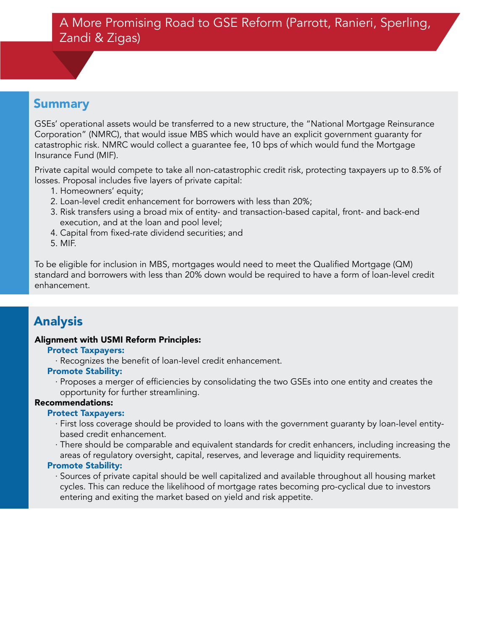GSEs' operational assets would be transferred to a new structure, the "National Mortgage Reinsurance Corporation" (NMRC), that would issue MBS which would have an explicit government guaranty for catastrophic risk. NMRC would collect a guarantee fee, 10 bps of which would fund the Mortgage Insurance Fund (MIF).

Private capital would compete to take all non-catastrophic credit risk, protecting taxpayers up to 8.5% of losses. Proposal includes five layers of private capital:

- 1. Homeowners' equity;
- 2. Loan-level credit enhancement for borrowers with less than 20%;
- 3. Risk transfers using a broad mix of entity- and transaction-based capital, front- and back-end execution, and at the loan and pool level;
- 4. Capital from fixed-rate dividend securities; and
- 5. MIF.

To be eligible for inclusion in MBS, mortgages would need to meet the Qualified Mortgage (QM) standard and borrowers with less than 20% down would be required to have a form of loan-level credit enhancement.

# Analysis

# Alignment with USMI Reform Principles:

# Protect Taxpayers:

· Recognizes the benefit of loan-level credit enhancement.

# Promote Stability:

· Proposes a merger of efficiencies by consolidating the two GSEs into one entity and creates the opportunity for further streamlining.

# Recommendations:

# Protect Taxpayers:

- · First loss coverage should be provided to loans with the government guaranty by loan-level entitybased credit enhancement.
- · There should be comparable and equivalent standards for credit enhancers, including increasing the areas of regulatory oversight, capital, reserves, and leverage and liquidity requirements.

# Promote Stability:

· Sources of private capital should be well capitalized and available throughout all housing market cycles. This can reduce the likelihood of mortgage rates becoming pro-cyclical due to investors entering and exiting the market based on yield and risk appetite.